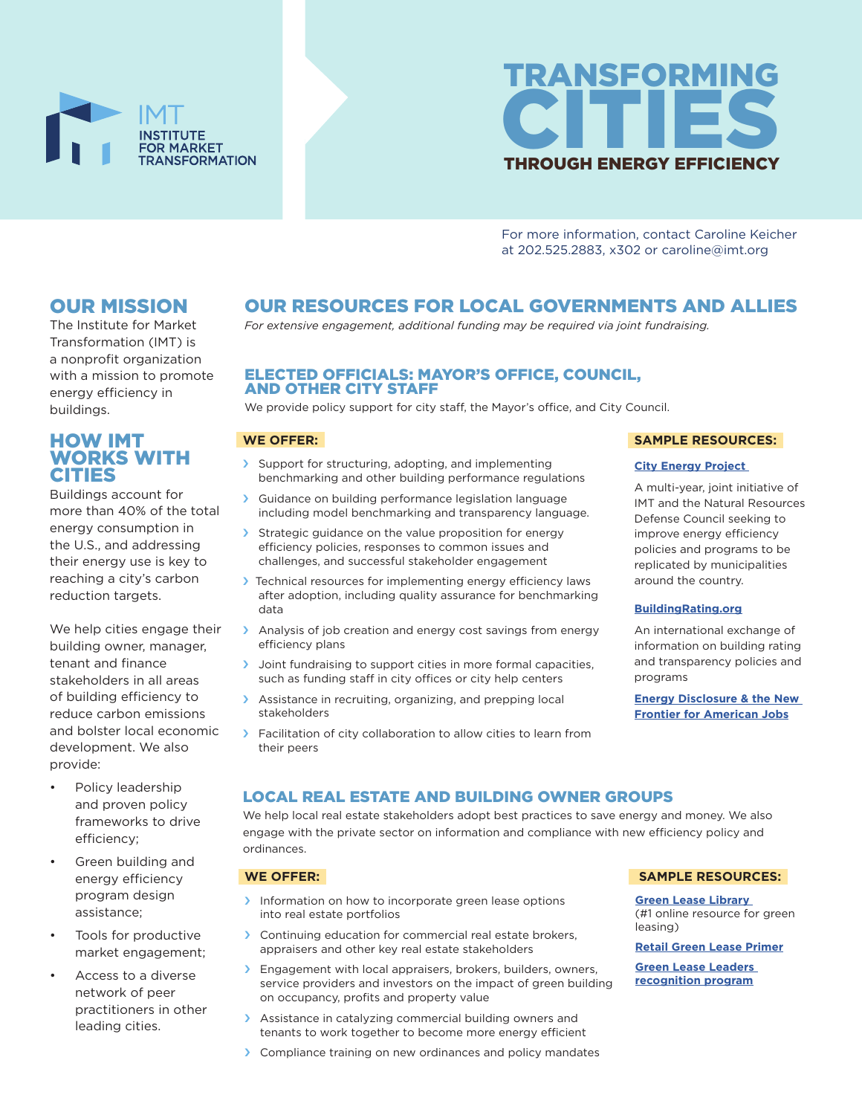



For more information, contact Caroline Keicher at 202.525.2883, x302 or caroline@imt.org

# OUR MISSION

The Institute for Market Transformation (IMT) is a nonprofit organization with a mission to promote energy efficiency in buildings.

# HOW IMT WORKS WITH CITIES

Buildings account for more than 40% of the total energy consumption in the U.S., and addressing their energy use is key to reaching a city's carbon reduction targets.

We help cities engage their building owner, manager, tenant and finance stakeholders in all areas of building efficiency to reduce carbon emissions and bolster local economic development. We also provide:

- Policy leadership and proven policy frameworks to drive efficiency;
- Green building and energy efficiency program design assistance;
- Tools for productive market engagement;
- Access to a diverse network of peer practitioners in other leading cities.

# OUR RESOURCES FOR LOCAL GOVERNMENTS AND ALLIES

*For extensive engagement, additional funding may be required via joint fundraising.*

# ELECTED OFFICIALS: MAYOR'S OFFICE, COUNCIL, AND OTHER CITY STAFF

We provide policy support for city staff, the Mayor's office, and City Council.

# **WE OFFER:**

- › Support for structuring, adopting, and implementing benchmarking and other building performance regulations
- › Guidance on building performance legislation language including model benchmarking and transparency language.
- > Strategic guidance on the value proposition for energy efficiency policies, responses to common issues and challenges, and successful stakeholder engagement
- › Technical resources for implementing energy efficiency laws after adoption, including quality assurance for benchmarking data
- > Analysis of job creation and energy cost savings from energy efficiency plans
- › Joint fundraising to support cities in more formal capacities, such as funding staff in city offices or city help centers
- > Assistance in recruiting, organizing, and prepping local stakeholders
- > Facilitation of city collaboration to allow cities to learn from their peers

#### **SAMPLE RESOURCES:**

#### **City Energy Project**

A multi-year, joint initiative of IMT and the Natural Resources Defense Council seeking to improve energy efficiency policies and programs to be replicated by municipalities around the country.

#### **BuildingRating.org**

An international exchange of information on building rating and transparency policies and programs

**Energy Disclosure & the New Frontier for American Jobs**

# LOCAL REAL ESTATE AND BUILDING OWNER GROUPS

We help local real estate stakeholders adopt best practices to save energy and money. We also engage with the private sector on information and compliance with new efficiency policy and ordinances.

#### **WE OFFER:**

- Information on how to incorporate green lease options into real estate portfolios
- > Continuing education for commercial real estate brokers, appraisers and other key real estate stakeholders
- > Engagement with local appraisers, brokers, builders, owners, service providers and investors on the impact of green building on occupancy, profits and property value
- › Assistance in catalyzing commercial building owners and tenants to work together to become more energy efficient
- › Compliance training on new ordinances and policy mandates

#### **SAMPLE RESOURCES:**

**Green Lease Library**  (#1 online resource for green leasing)

#### **Retail Green Lease Primer**

**Green Lease Leaders recognition program**